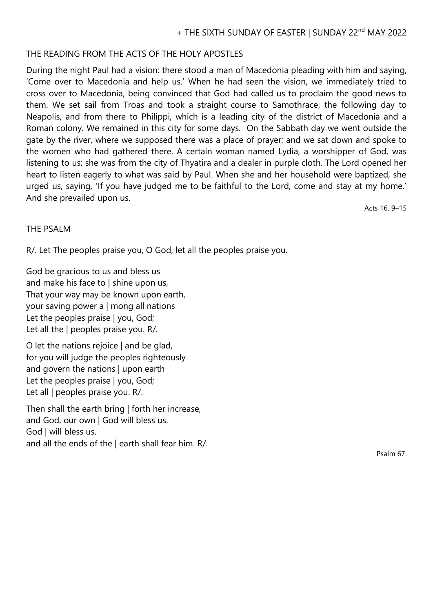## THE READING FROM THE ACTS OF THE HOLY APOSTLES

During the night Paul had a vision: there stood a man of Macedonia pleading with him and saying, 'Come over to Macedonia and help us.' When he had seen the vision, we immediately tried to cross over to Macedonia, being convinced that God had called us to proclaim the good news to them. We set sail from Troas and took a straight course to Samothrace, the following day to Neapolis, and from there to Philippi, which is a leading city of the district of Macedonia and a Roman colony. We remained in this city for some days. On the Sabbath day we went outside the gate by the river, where we supposed there was a place of prayer; and we sat down and spoke to the women who had gathered there. A certain woman named Lydia, a worshipper of God, was listening to us; she was from the city of Thyatira and a dealer in purple cloth. The Lord opened her heart to listen eagerly to what was said by Paul. When she and her household were baptized, she urged us, saying, 'If you have judged me to be faithful to the Lord, come and stay at my home.' And she prevailed upon us.

Acts 16. 9–15

## THE PSALM

R/. Let The peoples praise you, O God, let all the peoples praise you.

God be gracious to us and bless us and make his face to | shine upon us, That your way may be known upon earth, your saving power a | mong all nations Let the peoples praise | you, God; Let all the | peoples praise you. R/.

O let the nations rejoice | and be glad, for you will judge the peoples righteously and govern the nations | upon earth Let the peoples praise | you, God; Let all | peoples praise you. R/.

Then shall the earth bring | forth her increase, and God, our own | God will bless us. God | will bless us, and all the ends of the | earth shall fear him. R/.

Psalm 67.